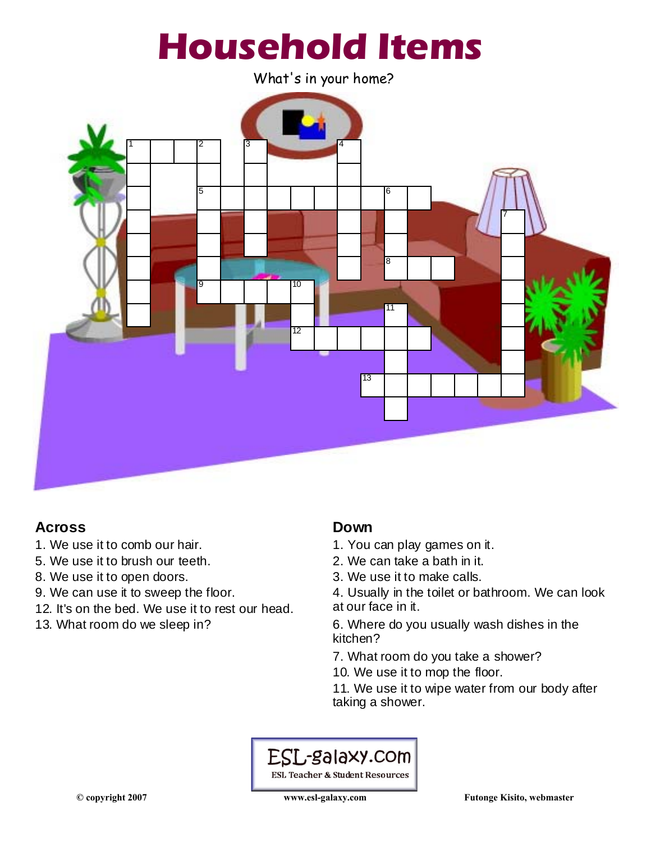

What's in your home?



## **Across**

- 1. We use it to comb our hair.
- 5. We use it to brush our teeth.
- 8. We use it to open doors.
- 9. We can use it to sweep the floor.
- 12. It's on the bed. We use it to rest our head.
- 13. What room do we sleep in?

#### **Down**

- 1. You can play games on it.
- 2. We can take a bath in it.
- 3. We use it to make calls.
- 4. Usually in the toilet or bathroom. We can look at our face in it.

6. Where do you usually wash dishes in the kitchen?

7. What room do you take a shower?

10. We use it to mop the floor.

11. We use it to wipe water from our body after taking a shower.

# ESL-galaxy.com

**ESL Teacher & Student Resources**